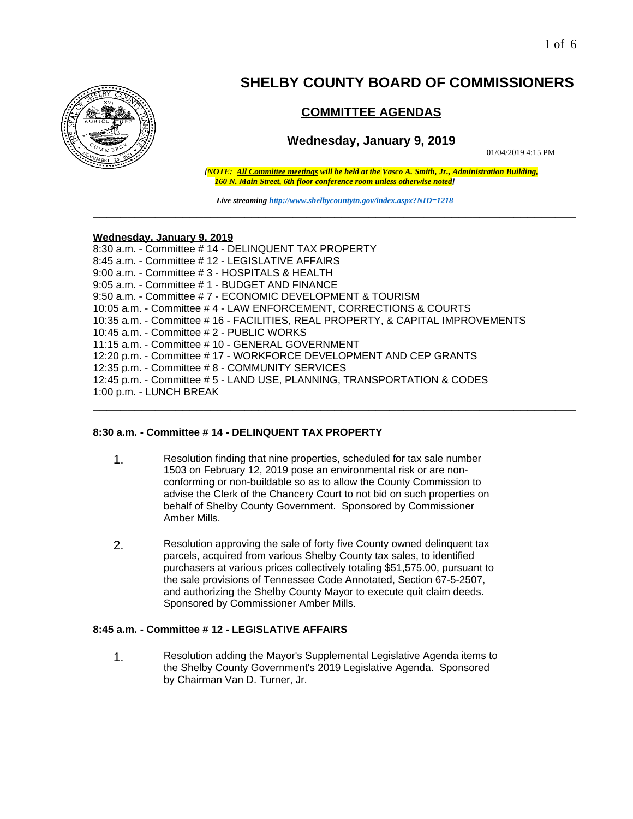

# **SHELBY COUNTY BOARD OF COMMISSIONERS**

# **COMMITTEE AGENDAS**

# **Wednesday, January 9, 2019**

01/04/2019 4:15 PM

*[NOTE: All Committee meetings will be held at the Vasco A. Smith, Jr., Administration Building, 160 N. Main Street, 6th floor conference room unless otherwise noted]*

*Live streaming<http://www.shelbycountytn.gov/index.aspx?NID=1218>* **\_\_\_\_\_\_\_\_\_\_\_\_\_\_\_\_\_\_\_\_\_\_\_\_\_\_\_\_\_\_\_\_\_\_\_\_\_\_\_\_\_\_\_\_\_\_\_\_\_\_\_\_\_\_\_\_\_\_\_\_\_\_\_\_\_\_\_\_\_\_**

**\_\_\_\_\_\_\_\_\_\_\_\_\_\_\_\_\_\_\_\_\_\_\_\_\_\_\_\_\_\_\_\_\_\_\_\_\_\_\_\_\_\_\_\_\_\_\_\_\_\_\_\_\_\_\_\_\_\_\_\_\_\_\_\_\_\_\_\_\_\_**

#### **Wednesday, January 9, 2019**

8:30 a.m. - Committee # 14 - DELINQUENT TAX PROPERTY 8:45 a.m. - Committee # 12 - LEGISLATIVE AFFAIRS 9:00 a.m. - Committee # 3 - HOSPITALS & HEALTH 9:05 a.m. - Committee # 1 - BUDGET AND FINANCE 9:50 a.m. - Committee # 7 - ECONOMIC DEVELOPMENT & TOURISM 10:05 a.m. - Committee # 4 - LAW ENFORCEMENT, CORRECTIONS & COURTS 10:35 a.m. - Committee # 16 - FACILITIES, REAL PROPERTY, & CAPITAL IMPROVEMENTS 10:45 a.m. - Committee # 2 - PUBLIC WORKS 11:15 a.m. - Committee # 10 - GENERAL GOVERNMENT 12:20 p.m. - Committee # 17 - WORKFORCE DEVELOPMENT AND CEP GRANTS 12:35 p.m. - Committee # 8 - COMMUNITY SERVICES 12:45 p.m. - Committee # 5 - LAND USE, PLANNING, TRANSPORTATION & CODES 1:00 p.m. - LUNCH BREAK

# **8:30 a.m. - Committee # 14 - DELINQUENT TAX PROPERTY**

- 1. Resolution finding that nine properties, scheduled for tax sale number 1503 on February 12, 2019 pose an environmental risk or are nonconforming or non-buildable so as to allow the County Commission to advise the Clerk of the Chancery Court to not bid on such properties on behalf of Shelby County Government. Sponsored by Commissioner Amber Mills.
- 2. Resolution approving the sale of forty five County owned delinquent tax parcels, acquired from various Shelby County tax sales, to identified purchasers at various prices collectively totaling \$51,575.00, pursuant to the sale provisions of Tennessee Code Annotated, Section 67-5-2507, and authorizing the Shelby County Mayor to execute quit claim deeds. Sponsored by Commissioner Amber Mills.

#### **8:45 a.m. - Committee # 12 - LEGISLATIVE AFFAIRS**

1. Resolution adding the Mayor's Supplemental Legislative Agenda items to the Shelby County Government's 2019 Legislative Agenda. Sponsored by Chairman Van D. Turner, Jr.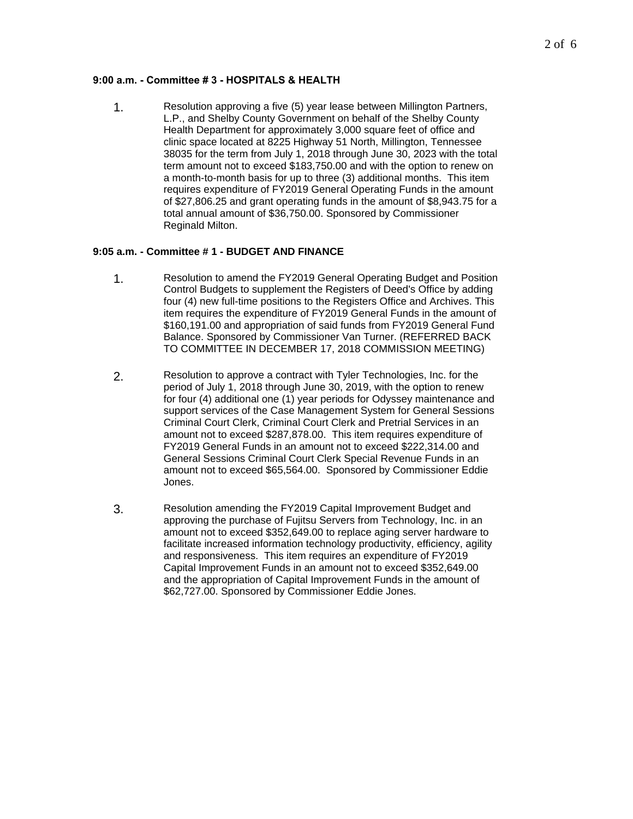# **9:00 a.m. - Committee # 3 - HOSPITALS & HEALTH**

1. Resolution approving a five (5) year lease between Millington Partners, L.P., and Shelby County Government on behalf of the Shelby County Health Department for approximately 3,000 square feet of office and clinic space located at 8225 Highway 51 North, Millington, Tennessee 38035 for the term from July 1, 2018 through June 30, 2023 with the total term amount not to exceed \$183,750.00 and with the option to renew on a month-to-month basis for up to three (3) additional months. This item requires expenditure of FY2019 General Operating Funds in the amount of \$27,806.25 and grant operating funds in the amount of \$8,943.75 for a total annual amount of \$36,750.00. Sponsored by Commissioner Reginald Milton.

#### **9:05 a.m. - Committee # 1 - BUDGET AND FINANCE**

- 1. Resolution to amend the FY2019 General Operating Budget and Position Control Budgets to supplement the Registers of Deed's Office by adding four (4) new full-time positions to the Registers Office and Archives. This item requires the expenditure of FY2019 General Funds in the amount of \$160,191.00 and appropriation of said funds from FY2019 General Fund Balance. Sponsored by Commissioner Van Turner. (REFERRED BACK TO COMMITTEE IN DECEMBER 17, 2018 COMMISSION MEETING)
- 2. Resolution to approve a contract with Tyler Technologies, Inc. for the period of July 1, 2018 through June 30, 2019, with the option to renew for four (4) additional one (1) year periods for Odyssey maintenance and support services of the Case Management System for General Sessions Criminal Court Clerk, Criminal Court Clerk and Pretrial Services in an amount not to exceed \$287,878.00. This item requires expenditure of FY2019 General Funds in an amount not to exceed \$222,314.00 and General Sessions Criminal Court Clerk Special Revenue Funds in an amount not to exceed \$65,564.00. Sponsored by Commissioner Eddie Jones.
- 3. Resolution amending the FY2019 Capital Improvement Budget and approving the purchase of Fujitsu Servers from Technology, Inc. in an amount not to exceed \$352,649.00 to replace aging server hardware to facilitate increased information technology productivity, efficiency, agility and responsiveness. This item requires an expenditure of FY2019 Capital Improvement Funds in an amount not to exceed \$352,649.00 and the appropriation of Capital Improvement Funds in the amount of \$62,727.00. Sponsored by Commissioner Eddie Jones.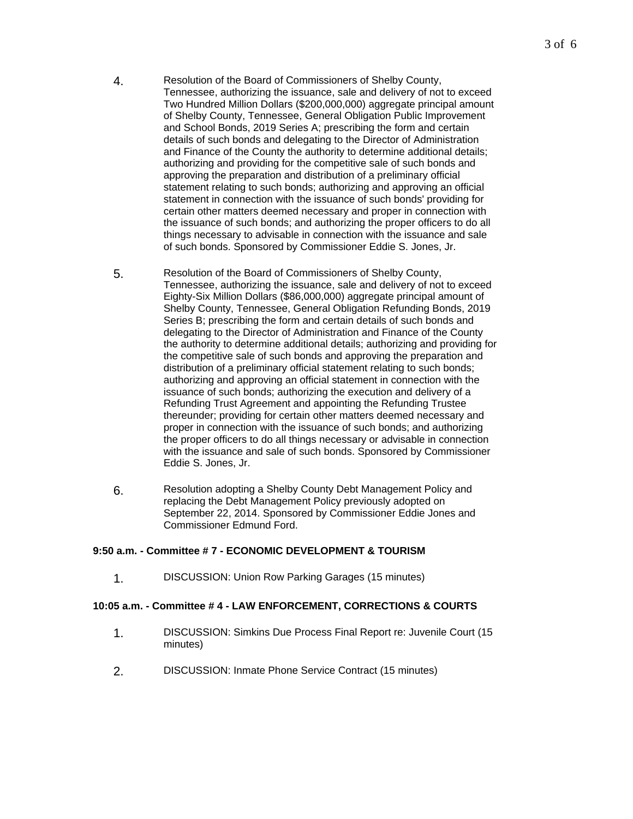- 4. Resolution of the Board of Commissioners of Shelby County, Tennessee, authorizing the issuance, sale and delivery of not to exceed Two Hundred Million Dollars (\$200,000,000) aggregate principal amount of Shelby County, Tennessee, General Obligation Public Improvement and School Bonds, 2019 Series A; prescribing the form and certain details of such bonds and delegating to the Director of Administration and Finance of the County the authority to determine additional details; authorizing and providing for the competitive sale of such bonds and approving the preparation and distribution of a preliminary official statement relating to such bonds; authorizing and approving an official statement in connection with the issuance of such bonds' providing for certain other matters deemed necessary and proper in connection with the issuance of such bonds; and authorizing the proper officers to do all things necessary to advisable in connection with the issuance and sale of such bonds. Sponsored by Commissioner Eddie S. Jones, Jr.
- 5. Resolution of the Board of Commissioners of Shelby County, Tennessee, authorizing the issuance, sale and delivery of not to exceed Eighty-Six Million Dollars (\$86,000,000) aggregate principal amount of Shelby County, Tennessee, General Obligation Refunding Bonds, 2019 Series B; prescribing the form and certain details of such bonds and delegating to the Director of Administration and Finance of the County the authority to determine additional details; authorizing and providing for the competitive sale of such bonds and approving the preparation and distribution of a preliminary official statement relating to such bonds; authorizing and approving an official statement in connection with the issuance of such bonds; authorizing the execution and delivery of a Refunding Trust Agreement and appointing the Refunding Trustee thereunder; providing for certain other matters deemed necessary and proper in connection with the issuance of such bonds; and authorizing the proper officers to do all things necessary or advisable in connection with the issuance and sale of such bonds. Sponsored by Commissioner Eddie S. Jones, Jr.
- 6. Resolution adopting a Shelby County Debt Management Policy and replacing the Debt Management Policy previously adopted on September 22, 2014. Sponsored by Commissioner Eddie Jones and Commissioner Edmund Ford.

#### **9:50 a.m. - Committee # 7 - ECONOMIC DEVELOPMENT & TOURISM**

1. DISCUSSION: Union Row Parking Garages (15 minutes)

#### **10:05 a.m. - Committee # 4 - LAW ENFORCEMENT, CORRECTIONS & COURTS**

- 1. DISCUSSION: Simkins Due Process Final Report re: Juvenile Court (15 minutes)
- 2. DISCUSSION: Inmate Phone Service Contract (15 minutes)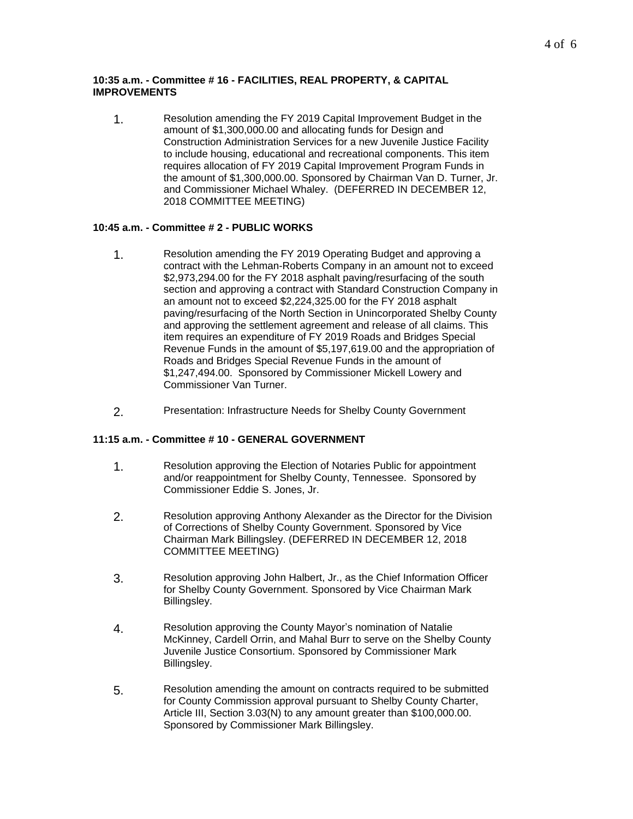#### **10:35 a.m. - Committee # 16 - FACILITIES, REAL PROPERTY, & CAPITAL IMPROVEMENTS**

1. Resolution amending the FY 2019 Capital Improvement Budget in the amount of \$1,300,000.00 and allocating funds for Design and Construction Administration Services for a new Juvenile Justice Facility to include housing, educational and recreational components. This item requires allocation of FY 2019 Capital Improvement Program Funds in the amount of \$1,300,000.00. Sponsored by Chairman Van D. Turner, Jr. and Commissioner Michael Whaley. (DEFERRED IN DECEMBER 12, 2018 COMMITTEE MEETING)

# **10:45 a.m. - Committee # 2 - PUBLIC WORKS**

- 1. Resolution amending the FY 2019 Operating Budget and approving a contract with the Lehman-Roberts Company in an amount not to exceed \$2,973,294.00 for the FY 2018 asphalt paving/resurfacing of the south section and approving a contract with Standard Construction Company in an amount not to exceed \$2,224,325.00 for the FY 2018 asphalt paving/resurfacing of the North Section in Unincorporated Shelby County and approving the settlement agreement and release of all claims. This item requires an expenditure of FY 2019 Roads and Bridges Special Revenue Funds in the amount of \$5,197,619.00 and the appropriation of Roads and Bridges Special Revenue Funds in the amount of \$1,247,494.00. Sponsored by Commissioner Mickell Lowery and Commissioner Van Turner.
- 2. Presentation: Infrastructure Needs for Shelby County Government

#### **11:15 a.m. - Committee # 10 - GENERAL GOVERNMENT**

- 1. Resolution approving the Election of Notaries Public for appointment and/or reappointment for Shelby County, Tennessee. Sponsored by Commissioner Eddie S. Jones, Jr.
- 2. Resolution approving Anthony Alexander as the Director for the Division of Corrections of Shelby County Government. Sponsored by Vice Chairman Mark Billingsley. (DEFERRED IN DECEMBER 12, 2018 COMMITTEE MEETING)
- 3. Resolution approving John Halbert, Jr., as the Chief Information Officer for Shelby County Government. Sponsored by Vice Chairman Mark Billingsley.
- 4. Resolution approving the County Mayor's nomination of Natalie McKinney, Cardell Orrin, and Mahal Burr to serve on the Shelby County Juvenile Justice Consortium. Sponsored by Commissioner Mark Billingsley.
- 5. Resolution amending the amount on contracts required to be submitted for County Commission approval pursuant to Shelby County Charter, Article III, Section 3.03(N) to any amount greater than \$100,000.00. Sponsored by Commissioner Mark Billingsley.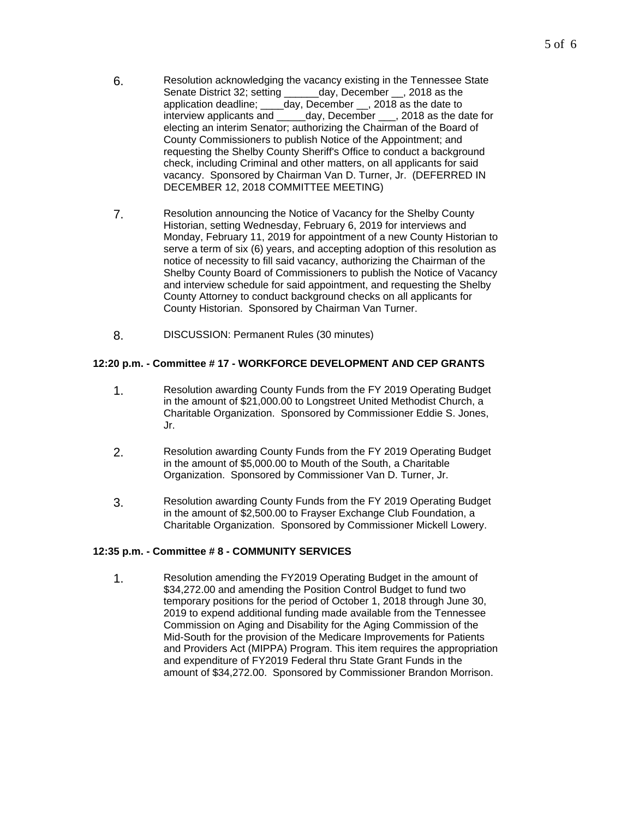- 6. Resolution acknowledging the vacancy existing in the Tennessee State<br>Senate District 32: setting day, December , 2018 as the day, December , 2018 as the application deadline; \_\_\_\_day, December \_\_, 2018 as the date to interview applicants and \_\_\_\_\_day, December \_\_\_, 2018 as the d day, December \_\_\_, 2018 as the date for electing an interim Senator; authorizing the Chairman of the Board of County Commissioners to publish Notice of the Appointment; and requesting the Shelby County Sheriff's Office to conduct a background check, including Criminal and other matters, on all applicants for said vacancy. Sponsored by Chairman Van D. Turner, Jr. (DEFERRED IN DECEMBER 12, 2018 COMMITTEE MEETING)
- 7. Resolution announcing the Notice of Vacancy for the Shelby County Historian, setting Wednesday, February 6, 2019 for interviews and Monday, February 11, 2019 for appointment of a new County Historian to serve a term of six (6) years, and accepting adoption of this resolution as notice of necessity to fill said vacancy, authorizing the Chairman of the Shelby County Board of Commissioners to publish the Notice of Vacancy and interview schedule for said appointment, and requesting the Shelby County Attorney to conduct background checks on all applicants for County Historian. Sponsored by Chairman Van Turner.
- 8. DISCUSSION: Permanent Rules (30 minutes)

# **12:20 p.m. - Committee # 17 - WORKFORCE DEVELOPMENT AND CEP GRANTS**

- 1. Resolution awarding County Funds from the FY 2019 Operating Budget in the amount of \$21,000.00 to Longstreet United Methodist Church, a Charitable Organization. Sponsored by Commissioner Eddie S. Jones, Jr.
- 2. Resolution awarding County Funds from the FY 2019 Operating Budget in the amount of \$5,000.00 to Mouth of the South, a Charitable Organization. Sponsored by Commissioner Van D. Turner, Jr.
- 3. Resolution awarding County Funds from the FY 2019 Operating Budget in the amount of \$2,500.00 to Frayser Exchange Club Foundation, a Charitable Organization. Sponsored by Commissioner Mickell Lowery.

# **12:35 p.m. - Committee # 8 - COMMUNITY SERVICES**

1. Resolution amending the FY2019 Operating Budget in the amount of \$34,272.00 and amending the Position Control Budget to fund two temporary positions for the period of October 1, 2018 through June 30, 2019 to expend additional funding made available from the Tennessee Commission on Aging and Disability for the Aging Commission of the Mid-South for the provision of the Medicare Improvements for Patients and Providers Act (MIPPA) Program. This item requires the appropriation and expenditure of FY2019 Federal thru State Grant Funds in the amount of \$34,272.00. Sponsored by Commissioner Brandon Morrison.